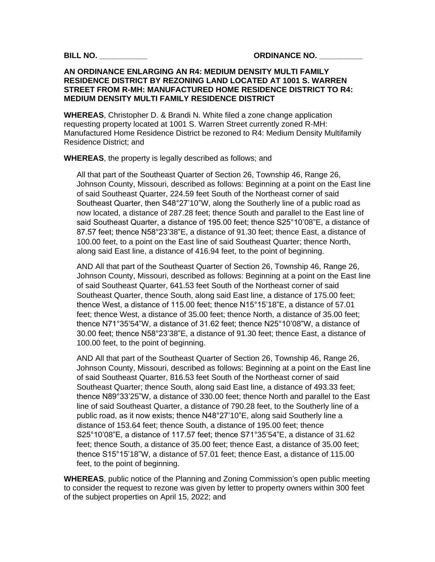## **AN ORDINANCE ENLARGING AN R4: MEDIUM DENSITY MULTI FAMILY RESIDENCE DISTRICT BY REZONING LAND LOCATED AT 1001 S. WARREN STREET FROM R-MH: MANUFACTURED HOME RESIDENCE DISTRICT TO R4: MEDIUM DENSITY MULTI FAMILY RESIDENCE DISTRICT**

**WHEREAS**, Christopher D. & Brandi N. White filed a zone change application requesting property located at 1001 S. Warren Street currently zoned R-MH: Manufactured Home Residence District be rezoned to R4: Medium Density Multifamily Residence District; and

**WHEREAS**, the property is legally described as follows; and

All that part of the Southeast Quarter of Section 26, Township 46, Range 26, Johnson County, Missouri, described as follows: Beginning at a point on the East line of said Southeast Quarter, 224.59 feet South of the Northeast corner of said Southeast Quarter, then S48°27'10"W, along the Southerly line of a public road as now located, a distance of 287.28 feet; thence South and parallel to the East line of said Southeast Quarter, a distance of 195.00 feet; thence S25°10'08"E, a distance of 87.57 feet; thence N58°23'38"E, a distance of 91.30 feet; thence East, a distance of 100.00 feet, to a point on the East line of said Southeast Quarter; thence North, along said East line, a distance of 416.94 feet, to the point of beginning.

AND All that part of the Southeast Quarter of Section 26, Township 46, Range 26, Johnson County, Missouri, described as follows: Beginning at a point on the East line of said Southeast Quarter, 641.53 feet South of the Northeast corner of said Southeast Quarter, thence South, along said East line, a distance of 175.00 feet; thence West, a distance of 115.00 feet; thence N15°15'18"E, a distance of 57.01 feet; thence West, a distance of 35.00 feet; thence North, a distance of 35.00 feet; thence N71°35'54"W, a distance of 31.62 feet; thence N25°10'08"W, a distance of 30.00 feet; thence N58°23'38"E, a distance of 91.30 feet; thence East, a distance of 100.00 feet, to the point of beginning.

AND All that part of the Southeast Quarter of Section 26, Township 46, Range 26, Johnson County, Missouri, described as follows: Beginning at a point on the East line of said Southeast Quarter, 816.53 feet South of the Northeast corner of said Southeast Quarter; thence South, along said East line, a distance of 493.33 feet; thence N89°33'25"W, a distance of 330.00 feet; thence North and parallel to the East line of said Southeast Quarter, a distance of 790.28 feet, to the Southerly line of a public road, as it now exists; thence N48°27'10"E, along said Southerly line a distance of 153.64 feet; thence South, a distance of 195.00 feet; thence S25°10'08"E, a distance of 117.57 feet; thence S71°35'54"E, a distance of 31.62 feet; thence South, a distance of 35.00 feet; thence East, a distance of 35.00 feet; thence S15°15'18"W, a distance of 57.01 feet; thence East, a distance of 115.00 feet, to the point of beginning.

**WHEREAS**, public notice of the Planning and Zoning Commission's open public meeting to consider the request to rezone was given by letter to property owners within 300 feet of the subject properties on April 15, 2022; and